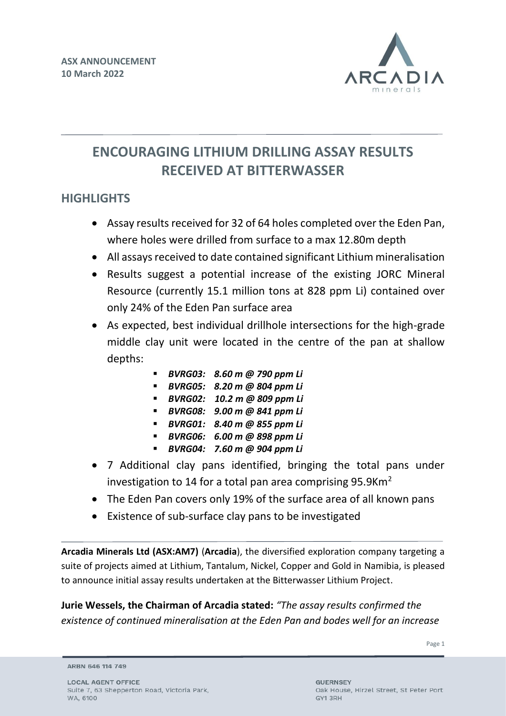

# **ENCOURAGING LITHIUM DRILLING ASSAY RESULTS RECEIVED AT BITTERWASSER**

# **HIGHLIGHTS**

- Assay results received for 32 of 64 holes completed over the Eden Pan, where holes were drilled from surface to a max 12.80m depth
- All assays received to date contained significant Lithium mineralisation
- Results suggest a potential increase of the existing JORC Mineral Resource (currently 15.1 million tons at 828 ppm Li) contained over only 24% of the Eden Pan surface area
- As expected, best individual drillhole intersections for the high-grade middle clay unit were located in the centre of the pan at shallow depths:
	- *BVRG03: 8.60 m @ 790 ppm Li*
	- *BVRG05: 8.20 m @ 804 ppm Li*
	- *BVRG02: 10.2 m @ 809 ppm Li*
	- *BVRG08: 9.00 m @ 841 ppm Li*
	- *BVRG01: 8.40 m @ 855 ppm Li*
	- *BVRG06: 6.00 m @ 898 ppm Li*
	- *BVRG04: 7.60 m @ 904 ppm Li*
- 7 Additional clay pans identified, bringing the total pans under investigation to 14 for a total pan area comprising 95.9Km<sup>2</sup>
- The Eden Pan covers only 19% of the surface area of all known pans
- Existence of sub-surface clay pans to be investigated

**Arcadia Minerals Ltd (ASX:AM7)** (**Arcadia**), the diversified exploration company targeting a suite of projects aimed at Lithium, Tantalum, Nickel, Copper and Gold in Namibia, is pleased to announce initial assay results undertaken at the Bitterwasser Lithium Project.

**Jurie Wessels, the Chairman of Arcadia stated:** *"The assay results confirmed the existence of continued mineralisation at the Eden Pan and bodes well for an increase* 

Page 1

ARBN 646 114 749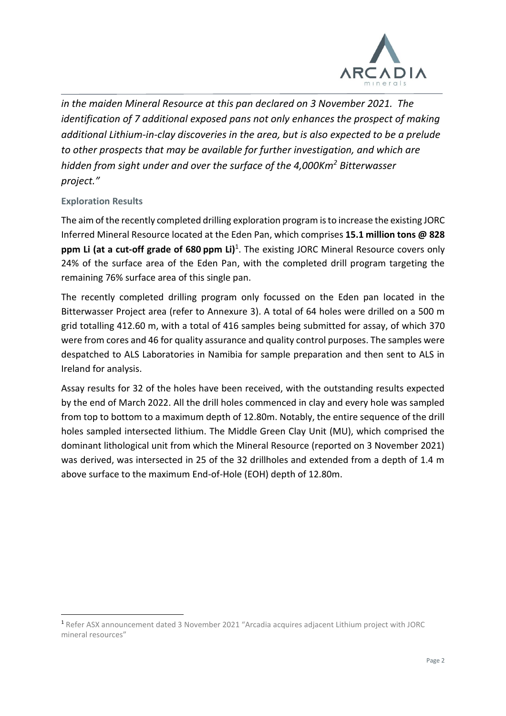

*in the maiden Mineral Resource at this pan declared on 3 November 2021. The identification of 7 additional exposed pans not only enhances the prospect of making additional Lithium-in-clay discoveries in the area, but is also expected to be a prelude to other prospects that may be available for further investigation, and which are hidden from sight under and over the surface of the 4,000Km<sup>2</sup> Bitterwasser project."* 

# **Exploration Results**

The aim of the recently completed drilling exploration program is to increase the existing JORC Inferred Mineral Resource located at the Eden Pan, which comprises **15.1 million tons @ 828 ppm Li (at a cut-off grade of 680 ppm Li)**<sup>1</sup> . The existing JORC Mineral Resource covers only 24% of the surface area of the Eden Pan, with the completed drill program targeting the remaining 76% surface area of this single pan.

The recently completed drilling program only focussed on the Eden pan located in the Bitterwasser Project area (refer to Annexure 3). A total of 64 holes were drilled on a 500 m grid totalling 412.60 m, with a total of 416 samples being submitted for assay, of which 370 were from cores and 46 for quality assurance and quality control purposes. The samples were despatched to ALS Laboratories in Namibia for sample preparation and then sent to ALS in Ireland for analysis.

Assay results for 32 of the holes have been received, with the outstanding results expected by the end of March 2022. All the drill holes commenced in clay and every hole was sampled from top to bottom to a maximum depth of 12.80m. Notably, the entire sequence of the drill holes sampled intersected lithium. The Middle Green Clay Unit (MU), which comprised the dominant lithological unit from which the Mineral Resource (reported on 3 November 2021) was derived, was intersected in 25 of the 32 drillholes and extended from a depth of 1.4 m above surface to the maximum End-of-Hole (EOH) depth of 12.80m.

<sup>1</sup> Refer ASX announcement dated 3 November 2021 "Arcadia acquires adjacent Lithium project with JORC mineral resources"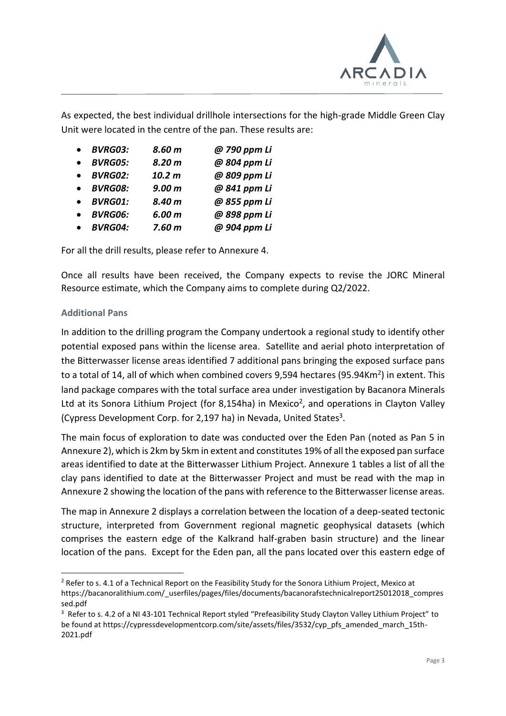

As expected, the best individual drillhole intersections for the high-grade Middle Green Clay Unit were located in the centre of the pan. These results are:

|           | <b>BVRG03:</b> | 8.60 m            | @ 790 ppm Li |
|-----------|----------------|-------------------|--------------|
| $\bullet$ | <b>BVRG05:</b> | 8.20 <sub>m</sub> | @ 804 ppm Li |
| $\bullet$ | <b>BVRG02:</b> | 10.2 <sub>m</sub> | @ 809 ppm Li |
| $\bullet$ | <b>BVRG08:</b> | 9.00 <sub>m</sub> | @ 841 ppm Li |
| $\bullet$ | <b>BVRG01:</b> | 8.40 m            | @ 855 ppm Li |
|           | <b>BVRG06:</b> | 6.00 <sub>m</sub> | @ 898 ppm Li |
|           | <b>BVRG04:</b> | 7.60 <sub>m</sub> | @ 904 ppm Li |

For all the drill results, please refer to Annexure 4.

Once all results have been received, the Company expects to revise the JORC Mineral Resource estimate, which the Company aims to complete during Q2/2022.

#### **Additional Pans**

In addition to the drilling program the Company undertook a regional study to identify other potential exposed pans within the license area. Satellite and aerial photo interpretation of the Bitterwasser license areas identified 7 additional pans bringing the exposed surface pans to a total of 14, all of which when combined covers 9,594 hectares (95.94Km<sup>2</sup>) in extent. This land package compares with the total surface area under investigation by Bacanora Minerals Ltd at its Sonora Lithium Project (for 8,154ha) in Mexico<sup>2</sup>, and operations in Clayton Valley (Cypress Development Corp. for 2,197 ha) in Nevada, United States<sup>3</sup>.

The main focus of exploration to date was conducted over the Eden Pan (noted as Pan 5 in Annexure 2), which is 2km by 5km in extent and constitutes 19% of all the exposed pan surface areas identified to date at the Bitterwasser Lithium Project. Annexure 1 tables a list of all the clay pans identified to date at the Bitterwasser Project and must be read with the map in Annexure 2 showing the location of the pans with reference to the Bitterwasser license areas.

The map in Annexure 2 displays a correlation between the location of a deep-seated tectonic structure, interpreted from Government regional magnetic geophysical datasets (which comprises the eastern edge of the Kalkrand half-graben basin structure) and the linear location of the pans. Except for the Eden pan, all the pans located over this eastern edge of

<sup>&</sup>lt;sup>2</sup> Refer to s. 4.1 of a Technical Report on the Feasibility Study for the Sonora Lithium Project, Mexico at https://bacanoralithium.com/\_userfiles/pages/files/documents/bacanorafstechnicalreport25012018\_compres sed.pdf

<sup>&</sup>lt;sup>3</sup> Refer to s. 4.2 of a NI 43-101 Technical Report styled "Prefeasibility Study Clayton Valley Lithium Project" to be found at https://cypressdevelopmentcorp.com/site/assets/files/3532/cyp\_pfs\_amended\_march\_15th-2021.pdf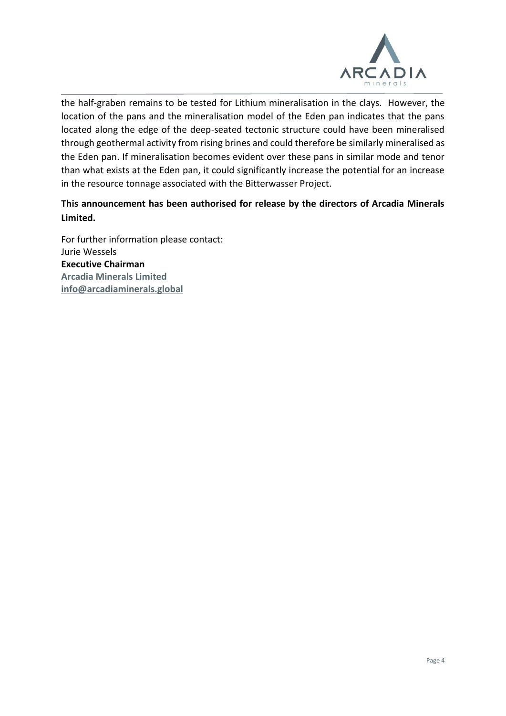

the half-graben remains to be tested for Lithium mineralisation in the clays. However, the location of the pans and the mineralisation model of the Eden pan indicates that the pans located along the edge of the deep-seated tectonic structure could have been mineralised through geothermal activity from rising brines and could therefore be similarly mineralised as the Eden pan. If mineralisation becomes evident over these pans in similar mode and tenor than what exists at the Eden pan, it could significantly increase the potential for an increase in the resource tonnage associated with the Bitterwasser Project.

# **This announcement has been authorised for release by the directors of Arcadia Minerals Limited.**

For further information please contact: Jurie Wessels **Executive Chairman Arcadia Minerals Limited [info@arcadiaminerals.global](mailto:info@arcadiaminerals.global)**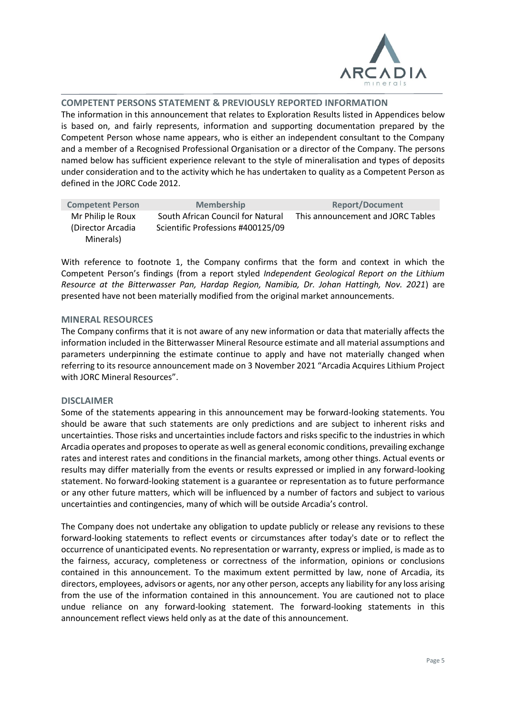

#### **COMPETENT PERSONS STATEMENT & PREVIOUSLY REPORTED INFORMATION**

The information in this announcement that relates to Exploration Results listed in Appendices below is based on, and fairly represents, information and supporting documentation prepared by the Competent Person whose name appears, who is either an independent consultant to the Company and a member of a Recognised Professional Organisation or a director of the Company. The persons named below has sufficient experience relevant to the style of mineralisation and types of deposits under consideration and to the activity which he has undertaken to quality as a Competent Person as defined in the JORC Code 2012.

| <b>Competent Person</b> | <b>Membership</b>                 | <b>Report/Document</b>            |
|-------------------------|-----------------------------------|-----------------------------------|
| Mr Philip le Roux       | South African Council for Natural | This announcement and JORC Tables |
| (Director Arcadia)      | Scientific Professions #400125/09 |                                   |
| Minerals)               |                                   |                                   |

With reference to footnote 1, the Company confirms that the form and context in which the Competent Person's findings (from a report styled *Independent Geological Report on the Lithium Resource at the Bitterwasser Pan, Hardap Region, Namibia, Dr. Johan Hattingh, Nov. 2021*) are presented have not been materially modified from the original market announcements.

#### **MINERAL RESOURCES**

The Company confirms that it is not aware of any new information or data that materially affects the information included in the Bitterwasser Mineral Resource estimate and all material assumptions and parameters underpinning the estimate continue to apply and have not materially changed when referring to its resource announcement made on 3 November 2021 "Arcadia Acquires Lithium Project with JORC Mineral Resources".

#### **DISCLAIMER**

Some of the statements appearing in this announcement may be forward-looking statements. You should be aware that such statements are only predictions and are subject to inherent risks and uncertainties. Those risks and uncertainties include factors and risks specific to the industries in which Arcadia operates and proposes to operate as well as general economic conditions, prevailing exchange rates and interest rates and conditions in the financial markets, among other things. Actual events or results may differ materially from the events or results expressed or implied in any forward-looking statement. No forward-looking statement is a guarantee or representation as to future performance or any other future matters, which will be influenced by a number of factors and subject to various uncertainties and contingencies, many of which will be outside Arcadia's control.

The Company does not undertake any obligation to update publicly or release any revisions to these forward-looking statements to reflect events or circumstances after today's date or to reflect the occurrence of unanticipated events. No representation or warranty, express or implied, is made as to the fairness, accuracy, completeness or correctness of the information, opinions or conclusions contained in this announcement. To the maximum extent permitted by law, none of Arcadia, its directors, employees, advisors or agents, nor any other person, accepts any liability for any loss arising from the use of the information contained in this announcement. You are cautioned not to place undue reliance on any forward-looking statement. The forward-looking statements in this announcement reflect views held only as at the date of this announcement.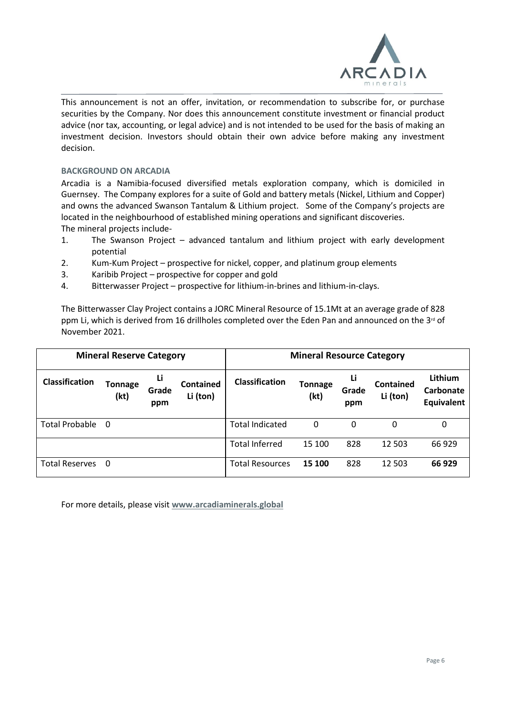

This announcement is not an offer, invitation, or recommendation to subscribe for, or purchase securities by the Company. Nor does this announcement constitute investment or financial product advice (nor tax, accounting, or legal advice) and is not intended to be used for the basis of making an investment decision. Investors should obtain their own advice before making any investment decision.

#### **BACKGROUND ON ARCADIA**

Arcadia is a Namibia-focused diversified metals exploration company, which is domiciled in Guernsey. The Company explores for a suite of Gold and battery metals (Nickel, Lithium and Copper) and owns the advanced Swanson Tantalum & Lithium project. Some of the Company's projects are located in the neighbourhood of established mining operations and significant discoveries. The mineral projects include-

- 1. The Swanson Project advanced tantalum and lithium project with early development potential
- 2. Kum-Kum Project prospective for nickel, copper, and platinum group elements
- 3. Karibib Project prospective for copper and gold
- 4. Bitterwasser Project prospective for lithium-in-brines and lithium-in-clays.

The Bitterwasser Clay Project contains a JORC Mineral Resource of 15.1Mt at an average grade of 828 ppm Li, which is derived from 16 drillholes completed over the Eden Pan and announced on the 3<sup>rd</sup> of November 2021.

|                       | <b>Mineral Reserve Category</b> |                    |                              | <b>Mineral Resource Category</b> |                        |                    |                              |                                           |
|-----------------------|---------------------------------|--------------------|------------------------------|----------------------------------|------------------------|--------------------|------------------------------|-------------------------------------------|
| <b>Classification</b> | Tonnage<br>(kt)                 | Li<br>Grade<br>ppm | <b>Contained</b><br>Li (ton) | <b>Classification</b>            | <b>Tonnage</b><br>(kt) | Li<br>Grade<br>ppm | <b>Contained</b><br>Li (ton) | Lithium<br>Carbonate<br><b>Equivalent</b> |
| <b>Total Probable</b> | 0                               |                    |                              | <b>Total Indicated</b>           | 0                      | 0                  | 0                            | 0                                         |
|                       |                                 |                    |                              | <b>Total Inferred</b>            | 15 100                 | 828                | 12 503                       | 66 929                                    |
| <b>Total Reserves</b> | 0                               |                    |                              | <b>Total Resources</b>           | 15 100                 | 828                | 12 503                       | 66 929                                    |

For more details, please visit **[www.arcadiaminerals.global](http://www.arcadiaminerals.global/)**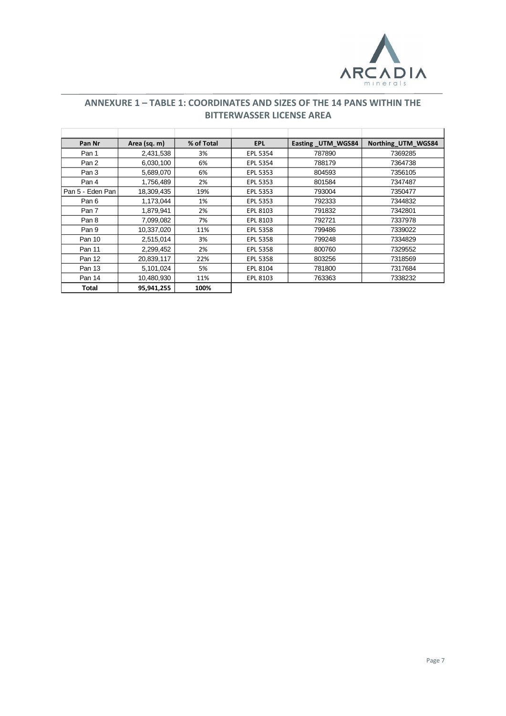

## **ANNEXURE 1 – TABLE 1: COORDINATES AND SIZES OF THE 14 PANS WITHIN THE BITTERWASSER LICENSE AREA**

| Pan Nr           | Area (sq. m) | % of Total | <b>EPL</b> | Easting UTM WGS84 | Northing UTM WGS84 |
|------------------|--------------|------------|------------|-------------------|--------------------|
| Pan 1            | 2,431,538    | 3%         | EPL 5354   | 787890            | 7369285            |
| Pan 2            | 6,030,100    | 6%         | EPL 5354   | 788179            | 7364738            |
| Pan 3            | 5,689,070    | 6%         | EPL 5353   | 804593            | 7356105            |
| Pan 4            | 1,756,489    | 2%         | EPL 5353   | 801584            | 7347487            |
| Pan 5 - Eden Pan | 18,309,435   | 19%        | EPL 5353   | 793004            | 7350477            |
| Pan 6            | 1,173,044    | 1%         | EPL 5353   | 792333            | 7344832            |
| Pan 7            | 1,879,941    | 2%         | EPL 8103   | 791832            | 7342801            |
| Pan 8            | 7,099,082    | 7%         | EPL 8103   | 792721            | 7337978            |
| Pan 9            | 10,337,020   | 11%        | EPL 5358   | 799486            | 7339022            |
| Pan 10           | 2,515,014    | 3%         | EPL 5358   | 799248            | 7334829            |
| Pan 11           | 2,299,452    | 2%         | EPL 5358   | 800760            | 7329552            |
| Pan 12           | 20,839,117   | 22%        | EPL 5358   | 803256            | 7318569            |
| Pan 13           | 5,101,024    | 5%         | EPL 8104   | 781800            | 7317684            |
| Pan 14           | 10,480,930   | 11%        | EPL 8103   | 763363            | 7338232            |
| <b>Total</b>     | 95,941,255   | 100%       |            |                   |                    |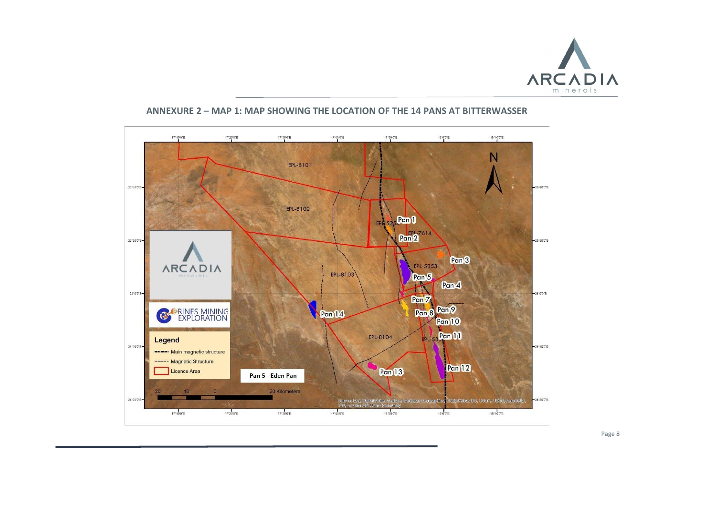



#### **ANNEXURE 2 – MAP 1: MAP SHOWING THE LOCATION OF THE 14 PANS AT BITTERWASSER**

Page 8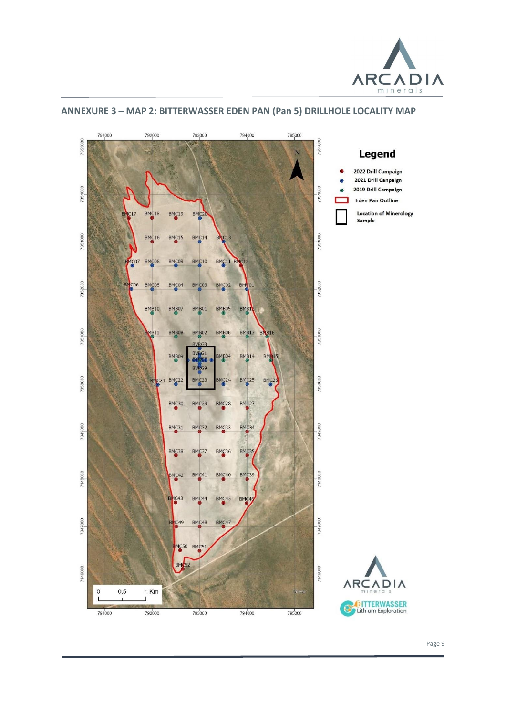![](_page_8_Picture_0.jpeg)

![](_page_8_Figure_1.jpeg)

#### **ANNEXURE 3 – MAP 2: BITTERWASSER EDEN PAN (Pan 5) DRILLHOLE LOCALITY MAP**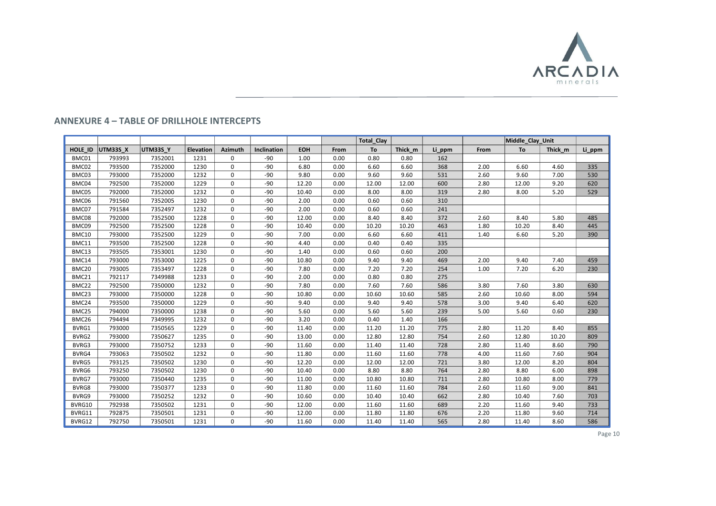![](_page_9_Picture_0.jpeg)

#### **ANNEXURE 4 – TABLE OF DRILLHOLE INTERCEPTS**

|         |          |          |           |             |             |            |      | <b>Total Clay</b> |         |        |      | Middle Clay Unit |         |        |
|---------|----------|----------|-----------|-------------|-------------|------------|------|-------------------|---------|--------|------|------------------|---------|--------|
| HOLE ID | UTM33S X | UTM33S Y | Elevation | Azimuth     | Inclination | <b>EOH</b> | From | To                | Thick m | Li ppm | From | To               | Thick m | Li ppm |
| BMC01   | 793993   | 7352001  | 1231      | 0           | -90         | 1.00       | 0.00 | 0.80              | 0.80    | 162    |      |                  |         |        |
| BMC02   | 793500   | 7352000  | 1230      | $\mathbf 0$ | $-90$       | 6.80       | 0.00 | 6.60              | 6.60    | 368    | 2.00 | 6.60             | 4.60    | 335    |
| BMC03   | 793000   | 7352000  | 1232      | 0           | $-90$       | 9.80       | 0.00 | 9.60              | 9.60    | 531    | 2.60 | 9.60             | 7.00    | 530    |
| BMC04   | 792500   | 7352000  | 1229      | $\mathbf 0$ | $-90$       | 12.20      | 0.00 | 12.00             | 12.00   | 600    | 2.80 | 12.00            | 9.20    | 620    |
| BMC05   | 792000   | 7352000  | 1232      | $\mathbf 0$ | $-90$       | 10.40      | 0.00 | 8.00              | 8.00    | 319    | 2.80 | 8.00             | 5.20    | 529    |
| BMC06   | 791560   | 7352005  | 1230      | $\mathbf 0$ | $-90$       | 2.00       | 0.00 | 0.60              | 0.60    | 310    |      |                  |         |        |
| BMC07   | 791584   | 7352497  | 1232      | $\mathbf 0$ | $-90$       | 2.00       | 0.00 | 0.60              | 0.60    | 241    |      |                  |         |        |
| BMC08   | 792000   | 7352500  | 1228      | $\Omega$    | $-90$       | 12.00      | 0.00 | 8.40              | 8.40    | 372    | 2.60 | 8.40             | 5.80    | 485    |
| BMC09   | 792500   | 7352500  | 1228      | $\Omega$    | $-90$       | 10.40      | 0.00 | 10.20             | 10.20   | 463    | 1.80 | 10.20            | 8.40    | 445    |
| BMC10   | 793000   | 7352500  | 1229      | $\mathbf 0$ | $-90$       | 7.00       | 0.00 | 6.60              | 6.60    | 411    | 1.40 | 6.60             | 5.20    | 390    |
| BMC11   | 793500   | 7352500  | 1228      | $\mathbf 0$ | $-90$       | 4.40       | 0.00 | 0.40              | 0.40    | 335    |      |                  |         |        |
| BMC13   | 793505   | 7353001  | 1230      | $\mathbf 0$ | -90         | 1.40       | 0.00 | 0.60              | 0.60    | 200    |      |                  |         |        |
| BMC14   | 793000   | 7353000  | 1225      | $\mathbf 0$ | $-90$       | 10.80      | 0.00 | 9.40              | 9.40    | 469    | 2.00 | 9.40             | 7.40    | 459    |
| BMC20   | 793005   | 7353497  | 1228      | $\mathbf 0$ | $-90$       | 7.80       | 0.00 | 7.20              | 7.20    | 254    | 1.00 | 7.20             | 6.20    | 230    |
| BMC21   | 792117   | 7349988  | 1233      | 0           | $-90$       | 2.00       | 0.00 | 0.80              | 0.80    | 275    |      |                  |         |        |
| BMC22   | 792500   | 7350000  | 1232      | 0           | $-90$       | 7.80       | 0.00 | 7.60              | 7.60    | 586    | 3.80 | 7.60             | 3.80    | 630    |
| BMC23   | 793000   | 7350000  | 1228      | $\mathbf 0$ | $-90$       | 10.80      | 0.00 | 10.60             | 10.60   | 585    | 2.60 | 10.60            | 8.00    | 594    |
| BMC24   | 793500   | 7350000  | 1229      | $\mathbf 0$ | $-90$       | 9.40       | 0.00 | 9.40              | 9.40    | 578    | 3.00 | 9.40             | 6.40    | 620    |
| BMC25   | 794000   | 7350000  | 1238      | $\mathbf 0$ | $-90$       | 5.60       | 0.00 | 5.60              | 5.60    | 239    | 5.00 | 5.60             | 0.60    | 230    |
| BMC26   | 794494   | 7349995  | 1232      | $\mathbf 0$ | $-90$       | 3.20       | 0.00 | 0.40              | 1.40    | 166    |      |                  |         |        |
| BVRG1   | 793000   | 7350565  | 1229      | $\mathbf 0$ | $-90$       | 11.40      | 0.00 | 11.20             | 11.20   | 775    | 2.80 | 11.20            | 8.40    | 855    |
| BVRG2   | 793000   | 7350627  | 1235      | $\mathbf 0$ | $-90$       | 13.00      | 0.00 | 12.80             | 12.80   | 754    | 2.60 | 12.80            | 10.20   | 809    |
| BVRG3   | 793000   | 7350752  | 1233      | 0           | $-90$       | 11.60      | 0.00 | 11.40             | 11.40   | 728    | 2.80 | 11.40            | 8.60    | 790    |
| BVRG4   | 793063   | 7350502  | 1232      | $\mathbf 0$ | $-90$       | 11.80      | 0.00 | 11.60             | 11.60   | 778    | 4.00 | 11.60            | 7.60    | 904    |
| BVRG5   | 793125   | 7350502  | 1230      | $\mathbf 0$ | $-90$       | 12.20      | 0.00 | 12.00             | 12.00   | 721    | 3.80 | 12.00            | 8.20    | 804    |
| BVRG6   | 793250   | 7350502  | 1230      | 0           | $-90$       | 10.40      | 0.00 | 8.80              | 8.80    | 764    | 2.80 | 8.80             | 6.00    | 898    |
| BVRG7   | 793000   | 7350440  | 1235      | 0           | $-90$       | 11.00      | 0.00 | 10.80             | 10.80   | 711    | 2.80 | 10.80            | 8.00    | 779    |
| BVRG8   | 793000   | 7350377  | 1233      | $\Omega$    | $-90$       | 11.80      | 0.00 | 11.60             | 11.60   | 784    | 2.60 | 11.60            | 9.00    | 841    |
| BVRG9   | 793000   | 7350252  | 1232      | 0           | $-90$       | 10.60      | 0.00 | 10.40             | 10.40   | 662    | 2.80 | 10.40            | 7.60    | 703    |
| BVRG10  | 792938   | 7350502  | 1231      | $\mathbf 0$ | $-90$       | 12.00      | 0.00 | 11.60             | 11.60   | 689    | 2.20 | 11.60            | 9.40    | 733    |
| BVRG11  | 792875   | 7350501  | 1231      | $\mathbf 0$ | $-90$       | 12.00      | 0.00 | 11.80             | 11.80   | 676    | 2.20 | 11.80            | 9.60    | 714    |
| BVRG12  | 792750   | 7350501  | 1231      | $\mathbf 0$ | $-90$       | 11.60      | 0.00 | 11.40             | 11.40   | 565    | 2.80 | 11.40            | 8.60    | 586    |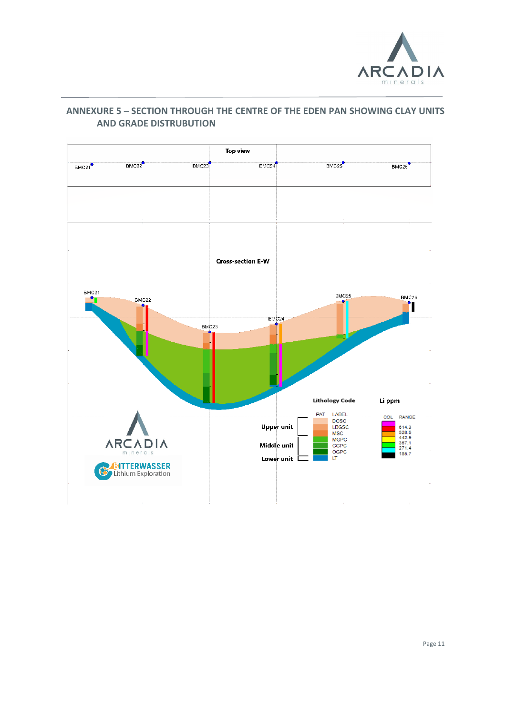![](_page_10_Picture_0.jpeg)

#### Top view  $BMC21$  $BMC22$  $BMC23$  $BMC24$ BMC<sub>25</sub>  $BMC26$ **Cross-section E-W** BMC21 BMC<sub>25</sub> <u>on</u> BMC26 BMC22 ۰ 'n  $BMC24$  $BMC23$ **Lithology Code** Li ppm LABEL<br>DCSC PAT COL RANGE 614.3<br>528.6<br>442.9<br>357.1<br>271.4<br>185.7 **Upper unit** LBGSC MSC<br>MSC<br>MGPC **ARCADIA** Middle unit GGPC<br>OGPC nerals Lower unit L LT **BATTERWASSER**  $\bar{z}$  $\sim$   $\alpha$  $\alpha$  .  $\sim 0$

## **ANNEXURE 5 – SECTION THROUGH THE CENTRE OF THE EDEN PAN SHOWING CLAY UNITS AND GRADE DISTRUBUTION**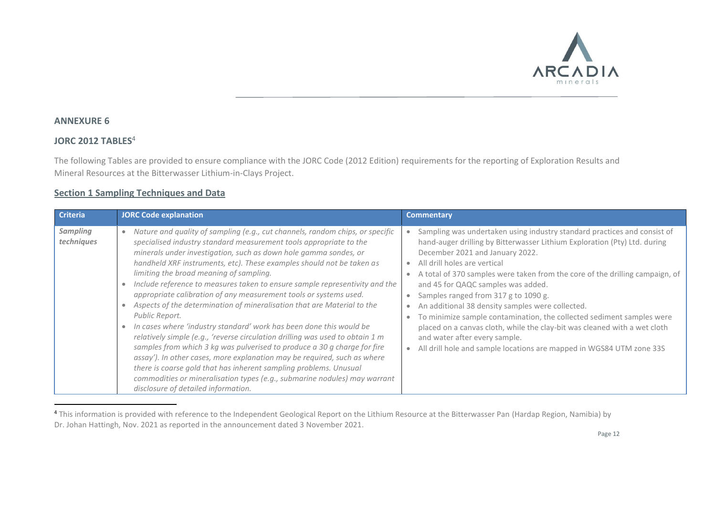![](_page_11_Picture_0.jpeg)

#### **ANNEXURE 6**

#### **JORC 2012 TABLES**<sup>4</sup>

The following Tables are provided to ensure compliance with the JORC Code (2012 Edition) requirements for the reporting of Exploration Results and Mineral Resources at the Bitterwasser Lithium-in-Clays Project.

#### **Section 1 Sampling Techniques and Data**

| <b>Criteria</b>               | JORC Code explanation                                                                                                                                                                                                                                                                                                                                                                                                                                                                                                                                                                                                                                                                                                                                                                                                                                                                                                                                                                                                                                                                                              | <b>Commentary</b>                                                                                                                                                                                                                                                                                                                                                                                                                                                                                                                                                                                                                                                                                                                                |
|-------------------------------|--------------------------------------------------------------------------------------------------------------------------------------------------------------------------------------------------------------------------------------------------------------------------------------------------------------------------------------------------------------------------------------------------------------------------------------------------------------------------------------------------------------------------------------------------------------------------------------------------------------------------------------------------------------------------------------------------------------------------------------------------------------------------------------------------------------------------------------------------------------------------------------------------------------------------------------------------------------------------------------------------------------------------------------------------------------------------------------------------------------------|--------------------------------------------------------------------------------------------------------------------------------------------------------------------------------------------------------------------------------------------------------------------------------------------------------------------------------------------------------------------------------------------------------------------------------------------------------------------------------------------------------------------------------------------------------------------------------------------------------------------------------------------------------------------------------------------------------------------------------------------------|
| <b>Sampling</b><br>techniques | Nature and quality of sampling (e.g., cut channels, random chips, or specific<br>$\bullet$<br>specialised industry standard measurement tools appropriate to the<br>minerals under investigation, such as down hole gamma sondes, or<br>handheld XRF instruments, etc). These examples should not be taken as<br>limiting the broad meaning of sampling.<br>Include reference to measures taken to ensure sample representivity and the<br>appropriate calibration of any measurement tools or systems used.<br>Aspects of the determination of mineralisation that are Material to the<br>Public Report.<br>In cases where 'industry standard' work has been done this would be<br>relatively simple (e.g., 'reverse circulation drilling was used to obtain 1 m<br>samples from which 3 kg was pulverised to produce a 30 g charge for fire<br>assay'). In other cases, more explanation may be required, such as where<br>there is coarse gold that has inherent sampling problems. Unusual<br>commodities or mineralisation types (e.g., submarine nodules) may warrant<br>disclosure of detailed information. | Sampling was undertaken using industry standard practices and consist of<br>$\bullet$<br>hand-auger drilling by Bitterwasser Lithium Exploration (Pty) Ltd. during<br>December 2021 and January 2022.<br>All drill holes are vertical<br>$\bullet$<br>A total of 370 samples were taken from the core of the drilling campaign, of<br>and 45 for QAQC samples was added.<br>Samples ranged from 317 g to 1090 g.<br>An additional 38 density samples were collected.<br>$\bullet$<br>To minimize sample contamination, the collected sediment samples were<br>placed on a canvas cloth, while the clay-bit was cleaned with a wet cloth<br>and water after every sample.<br>All drill hole and sample locations are mapped in WGS84 UTM zone 33S |

<sup>&</sup>lt;sup>4</sup> This information is provided with reference to the Independent Geological Report on the Lithium Resource at the Bitterwasser Pan (Hardap Region, Namibia) by Dr. Johan Hattingh, Nov. 2021 as reported in the announcement dated 3 November 2021.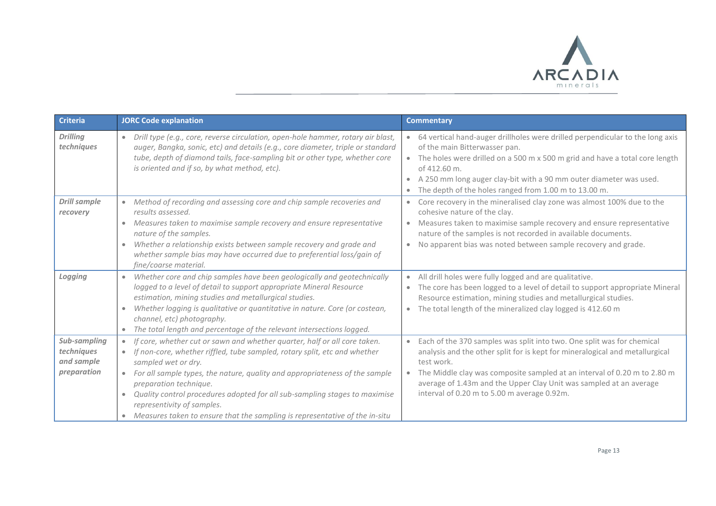![](_page_12_Picture_0.jpeg)

| <b>Criteria</b>                                         | <b>JORC Code explanation</b>                                                                                                                                                                                                                                                                                                                                                                                                                                                           | <b>Commentary</b>                                                                                                                                                                                                                                                                                                                                                                               |
|---------------------------------------------------------|----------------------------------------------------------------------------------------------------------------------------------------------------------------------------------------------------------------------------------------------------------------------------------------------------------------------------------------------------------------------------------------------------------------------------------------------------------------------------------------|-------------------------------------------------------------------------------------------------------------------------------------------------------------------------------------------------------------------------------------------------------------------------------------------------------------------------------------------------------------------------------------------------|
| <b>Drilling</b><br>techniques                           | Drill type (e.g., core, reverse circulation, open-hole hammer, rotary air blast,<br>auger, Bangka, sonic, etc) and details (e.g., core diameter, triple or standard<br>tube, depth of diamond tails, face-sampling bit or other type, whether core<br>is oriented and if so, by what method, etc).                                                                                                                                                                                     | • 64 vertical hand-auger drillholes were drilled perpendicular to the long axis<br>of the main Bitterwasser pan.<br>The holes were drilled on a 500 m x 500 m grid and have a total core length<br>of 412.60 m.<br>A 250 mm long auger clay-bit with a 90 mm outer diameter was used.<br>$\bullet$<br>The depth of the holes ranged from 1.00 m to 13.00 m.                                     |
| <b>Drill sample</b><br>recovery                         | Method of recording and assessing core and chip sample recoveries and<br>$\bullet$<br>results assessed.<br>Measures taken to maximise sample recovery and ensure representative<br>$\bullet$<br>nature of the samples.<br>Whether a relationship exists between sample recovery and grade and<br>۰<br>whether sample bias may have occurred due to preferential loss/gain of<br>fine/coarse material.                                                                                  | • Core recovery in the mineralised clay zone was almost 100% due to the<br>cohesive nature of the clay.<br>Measures taken to maximise sample recovery and ensure representative<br>$\bullet$<br>nature of the samples is not recorded in available documents.<br>No apparent bias was noted between sample recovery and grade.                                                                  |
| Logging                                                 | Whether core and chip samples have been geologically and geotechnically<br>logged to a level of detail to support appropriate Mineral Resource<br>estimation, mining studies and metallurgical studies.<br>Whether logging is qualitative or quantitative in nature. Core (or costean,<br>۰<br>channel, etc) photography.<br>The total length and percentage of the relevant intersections logged.                                                                                     | All drill holes were fully logged and are qualitative.<br>The core has been logged to a level of detail to support appropriate Mineral<br>$\bullet$<br>Resource estimation, mining studies and metallurgical studies.<br>The total length of the mineralized clay logged is 412.60 m<br>$\bullet$                                                                                               |
| Sub-sampling<br>techniques<br>and sample<br>preparation | If core, whether cut or sawn and whether quarter, half or all core taken.<br>If non-core, whether riffled, tube sampled, rotary split, etc and whether<br>sampled wet or dry.<br>For all sample types, the nature, quality and appropriateness of the sample<br>preparation technique.<br>Quality control procedures adopted for all sub-sampling stages to maximise<br>۰<br>representivity of samples.<br>Measures taken to ensure that the sampling is representative of the in-situ | Each of the 370 samples was split into two. One split was for chemical<br>$\bullet$<br>analysis and the other split for is kept for mineralogical and metallurgical<br>test work.<br>The Middle clay was composite sampled at an interval of 0.20 m to 2.80 m<br>$\bullet$<br>average of 1.43m and the Upper Clay Unit was sampled at an average<br>interval of 0.20 m to 5.00 m average 0.92m. |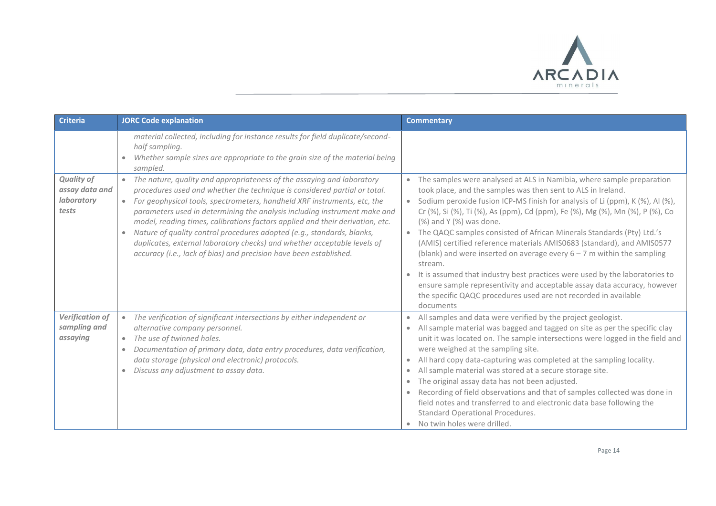![](_page_13_Picture_0.jpeg)

| <b>Criteria</b>                                            | <b>JORC Code explanation</b>                                                                                                                                                                                                                                                                                                                                                                                                                                                                                                                                                                                                                                     | <b>Commentary</b>                                                                                                                                                                                                                                                                                                                                                                                                                                                                                                                                                                                                                                                                                                                                                                                                                                                |
|------------------------------------------------------------|------------------------------------------------------------------------------------------------------------------------------------------------------------------------------------------------------------------------------------------------------------------------------------------------------------------------------------------------------------------------------------------------------------------------------------------------------------------------------------------------------------------------------------------------------------------------------------------------------------------------------------------------------------------|------------------------------------------------------------------------------------------------------------------------------------------------------------------------------------------------------------------------------------------------------------------------------------------------------------------------------------------------------------------------------------------------------------------------------------------------------------------------------------------------------------------------------------------------------------------------------------------------------------------------------------------------------------------------------------------------------------------------------------------------------------------------------------------------------------------------------------------------------------------|
|                                                            | material collected, including for instance results for field duplicate/second-<br>half sampling.<br>Whether sample sizes are appropriate to the grain size of the material being<br>sampled.                                                                                                                                                                                                                                                                                                                                                                                                                                                                     |                                                                                                                                                                                                                                                                                                                                                                                                                                                                                                                                                                                                                                                                                                                                                                                                                                                                  |
| <b>Quality of</b><br>assay data and<br>laboratory<br>tests | The nature, quality and appropriateness of the assaying and laboratory<br>$\bullet$<br>procedures used and whether the technique is considered partial or total.<br>For geophysical tools, spectrometers, handheld XRF instruments, etc, the<br>$\bullet$<br>parameters used in determining the analysis including instrument make and<br>model, reading times, calibrations factors applied and their derivation, etc.<br>Nature of quality control procedures adopted (e.g., standards, blanks,<br>$\bullet$<br>duplicates, external laboratory checks) and whether acceptable levels of<br>accuracy (i.e., lack of bias) and precision have been established. | The samples were analysed at ALS in Namibia, where sample preparation<br>$\bullet$<br>took place, and the samples was then sent to ALS in Ireland.<br>• Sodium peroxide fusion ICP-MS finish for analysis of Li (ppm), K (%), Al (%),<br>Cr (%), Si (%), Ti (%), As (ppm), Cd (ppm), Fe (%), Mg (%), Mn (%), P (%), Co<br>(%) and Y (%) was done.<br>The QAQC samples consisted of African Minerals Standards (Pty) Ltd.'s<br>$\bullet$<br>(AMIS) certified reference materials AMIS0683 (standard), and AMIS0577<br>(blank) and were inserted on average every $6 - 7$ m within the sampling<br>stream.<br>It is assumed that industry best practices were used by the laboratories to<br>$\bullet$<br>ensure sample representivity and acceptable assay data accuracy, however<br>the specific QAQC procedures used are not recorded in available<br>documents |
| Verification of<br>sampling and<br>assaying                | The verification of significant intersections by either independent or<br>$\bullet$<br>alternative company personnel.<br>The use of twinned holes.<br>$\bullet$<br>Documentation of primary data, data entry procedures, data verification,<br>$\bullet$<br>data storage (physical and electronic) protocols.<br>Discuss any adjustment to assay data.                                                                                                                                                                                                                                                                                                           | All samples and data were verified by the project geologist.<br>$\bullet$<br>All sample material was bagged and tagged on site as per the specific clay<br>unit it was located on. The sample intersections were logged in the field and<br>were weighed at the sampling site.<br>All hard copy data-capturing was completed at the sampling locality.<br>$\bullet$<br>All sample material was stored at a secure storage site.<br>$\bullet$<br>The original assay data has not been adjusted.<br>$\bullet$<br>Recording of field observations and that of samples collected was done in<br>$\bullet$<br>field notes and transferred to and electronic data base following the<br>Standard Operational Procedures.<br>No twin holes were drilled.<br>$\bullet$                                                                                                   |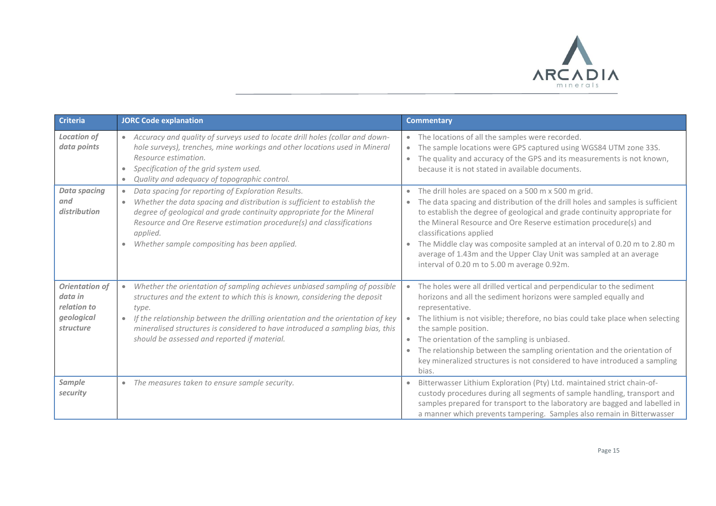![](_page_14_Picture_0.jpeg)

| <b>Criteria</b>                                                            | <b>JORC Code explanation</b>                                                                                                                                                                                                                                                                                                                                                         | <b>Commentary</b>                                                                                                                                                                                                                                                                                                                                                                                                                                                                                                                |
|----------------------------------------------------------------------------|--------------------------------------------------------------------------------------------------------------------------------------------------------------------------------------------------------------------------------------------------------------------------------------------------------------------------------------------------------------------------------------|----------------------------------------------------------------------------------------------------------------------------------------------------------------------------------------------------------------------------------------------------------------------------------------------------------------------------------------------------------------------------------------------------------------------------------------------------------------------------------------------------------------------------------|
| <b>Location of</b><br>data points                                          | Accuracy and quality of surveys used to locate drill holes (collar and down-<br>hole surveys), trenches, mine workings and other locations used in Mineral<br>Resource estimation.<br>Specification of the grid system used.<br>$\bullet$<br>Quality and adequacy of topographic control.                                                                                            | The locations of all the samples were recorded.<br>$\bullet$<br>The sample locations were GPS captured using WGS84 UTM zone 33S.<br>$\bullet$<br>The quality and accuracy of the GPS and its measurements is not known,<br>$\bullet$<br>because it is not stated in available documents.                                                                                                                                                                                                                                         |
| <b>Data spacing</b><br>and<br>distribution                                 | Data spacing for reporting of Exploration Results.<br>$\bullet$<br>Whether the data spacing and distribution is sufficient to establish the<br>۰<br>degree of geological and grade continuity appropriate for the Mineral<br>Resource and Ore Reserve estimation procedure(s) and classifications<br>applied.<br>Whether sample compositing has been applied.                        | The drill holes are spaced on a 500 m x 500 m grid.<br>The data spacing and distribution of the drill holes and samples is sufficient<br>$\bullet$<br>to establish the degree of geological and grade continuity appropriate for<br>the Mineral Resource and Ore Reserve estimation procedure(s) and<br>classifications applied<br>The Middle clay was composite sampled at an interval of 0.20 m to 2.80 m<br>average of 1.43m and the Upper Clay Unit was sampled at an average<br>interval of 0.20 m to 5.00 m average 0.92m. |
| <b>Orientation of</b><br>data in<br>relation to<br>geological<br>structure | Whether the orientation of sampling achieves unbiased sampling of possible<br>structures and the extent to which this is known, considering the deposit<br>type.<br>If the relationship between the drilling orientation and the orientation of key<br>mineralised structures is considered to have introduced a sampling bias, this<br>should be assessed and reported if material. | The holes were all drilled vertical and perpendicular to the sediment<br>$\bullet$<br>horizons and all the sediment horizons were sampled equally and<br>representative.<br>The lithium is not visible; therefore, no bias could take place when selecting<br>the sample position.<br>The orientation of the sampling is unbiased.<br>$\bullet$<br>The relationship between the sampling orientation and the orientation of<br>$\bullet$<br>key mineralized structures is not considered to have introduced a sampling<br>bias.  |
| Sample<br>security                                                         | The measures taken to ensure sample security.<br>$\bullet$                                                                                                                                                                                                                                                                                                                           | Bitterwasser Lithium Exploration (Pty) Ltd. maintained strict chain-of-<br>custody procedures during all segments of sample handling, transport and<br>samples prepared for transport to the laboratory are bagged and labelled in<br>a manner which prevents tampering. Samples also remain in Bitterwasser                                                                                                                                                                                                                     |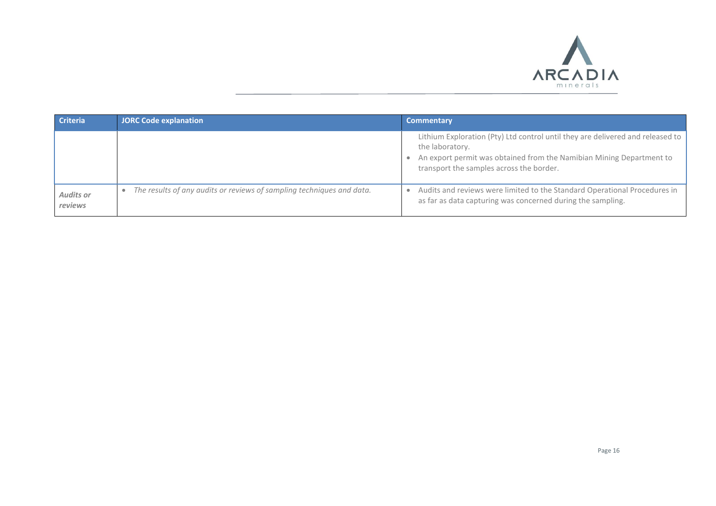![](_page_15_Picture_0.jpeg)

| <b>Criteria</b>             | <b>JORC Code explanation</b>                                          | <b>Commentary</b>                                                                                                                                                                                                     |
|-----------------------------|-----------------------------------------------------------------------|-----------------------------------------------------------------------------------------------------------------------------------------------------------------------------------------------------------------------|
|                             |                                                                       | Lithium Exploration (Pty) Ltd control until they are delivered and released to<br>the laboratory.<br>An export permit was obtained from the Namibian Mining Department to<br>transport the samples across the border. |
| <b>Audits or</b><br>reviews | The results of any audits or reviews of sampling techniques and data. | Audits and reviews were limited to the Standard Operational Procedures in<br>as far as data capturing was concerned during the sampling.                                                                              |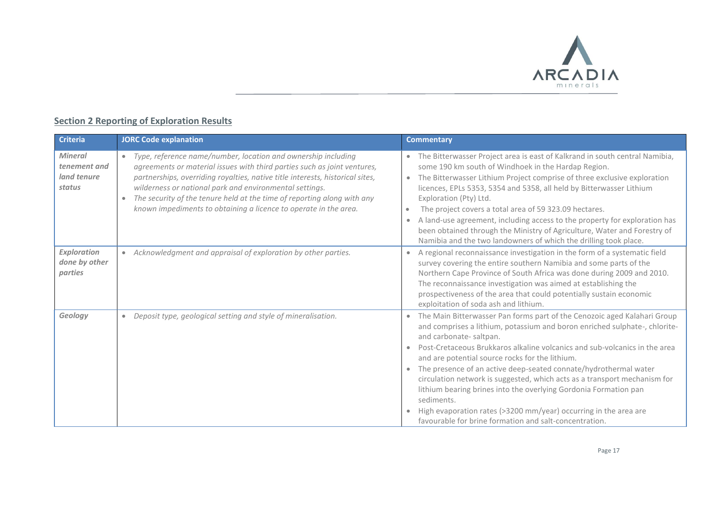![](_page_16_Picture_0.jpeg)

# **Section 2 Reporting of Exploration Results**

| <b>Criteria</b>                                         | <b>JORC Code explanation</b>                                                                                                                                                                                                                                                                                                                                                                                                                      | <b>Commentary</b>                                                                                                                                                                                                                                                                                                                                                                                                                                                                                                                                                                                                                                                                  |
|---------------------------------------------------------|---------------------------------------------------------------------------------------------------------------------------------------------------------------------------------------------------------------------------------------------------------------------------------------------------------------------------------------------------------------------------------------------------------------------------------------------------|------------------------------------------------------------------------------------------------------------------------------------------------------------------------------------------------------------------------------------------------------------------------------------------------------------------------------------------------------------------------------------------------------------------------------------------------------------------------------------------------------------------------------------------------------------------------------------------------------------------------------------------------------------------------------------|
| <b>Mineral</b><br>tenement and<br>land tenure<br>status | Type, reference name/number, location and ownership including<br>$\bullet$<br>agreements or material issues with third parties such as joint ventures,<br>partnerships, overriding royalties, native title interests, historical sites,<br>wilderness or national park and environmental settings.<br>The security of the tenure held at the time of reporting along with any<br>known impediments to obtaining a licence to operate in the area. | • The Bitterwasser Project area is east of Kalkrand in south central Namibia,<br>some 190 km south of Windhoek in the Hardap Region.<br>• The Bitterwasser Lithium Project comprise of three exclusive exploration<br>licences, EPLs 5353, 5354 and 5358, all held by Bitterwasser Lithium<br>Exploration (Pty) Ltd.<br>The project covers a total area of 59 323.09 hectares.<br>$\bullet$<br>A land-use agreement, including access to the property for exploration has<br>$\bullet$<br>been obtained through the Ministry of Agriculture, Water and Forestry of<br>Namibia and the two landowners of which the drilling took place.                                             |
| <b>Exploration</b><br>done by other<br>parties          | Acknowledgment and appraisal of exploration by other parties.                                                                                                                                                                                                                                                                                                                                                                                     | A regional reconnaissance investigation in the form of a systematic field<br>$\bullet$<br>survey covering the entire southern Namibia and some parts of the<br>Northern Cape Province of South Africa was done during 2009 and 2010.<br>The reconnaissance investigation was aimed at establishing the<br>prospectiveness of the area that could potentially sustain economic<br>exploitation of soda ash and lithium.                                                                                                                                                                                                                                                             |
| Geology                                                 | Deposit type, geological setting and style of mineralisation.<br>$\bullet$                                                                                                                                                                                                                                                                                                                                                                        | The Main Bitterwasser Pan forms part of the Cenozoic aged Kalahari Group<br>and comprises a lithium, potassium and boron enriched sulphate-, chlorite-<br>and carbonate-saltpan.<br>Post-Cretaceous Brukkaros alkaline volcanics and sub-volcanics in the area<br>and are potential source rocks for the lithium.<br>The presence of an active deep-seated connate/hydrothermal water<br>circulation network is suggested, which acts as a transport mechanism for<br>lithium bearing brines into the overlying Gordonia Formation pan<br>sediments.<br>High evaporation rates (>3200 mm/year) occurring in the area are<br>favourable for brine formation and salt-concentration. |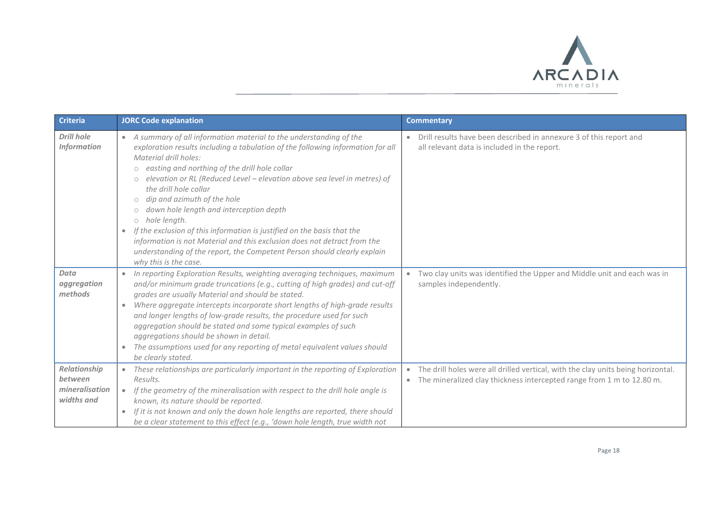![](_page_17_Picture_0.jpeg)

| <b>Criteria</b>                                         | <b>JORC Code explanation</b>                                                                                                                                                                                                                                                                                                                                                                                                                                                                                                                                                                                                                                                                                                                                                        | <b>Commentary</b>                                                                                                                                                                   |
|---------------------------------------------------------|-------------------------------------------------------------------------------------------------------------------------------------------------------------------------------------------------------------------------------------------------------------------------------------------------------------------------------------------------------------------------------------------------------------------------------------------------------------------------------------------------------------------------------------------------------------------------------------------------------------------------------------------------------------------------------------------------------------------------------------------------------------------------------------|-------------------------------------------------------------------------------------------------------------------------------------------------------------------------------------|
| <b>Drill hole</b><br><b>Information</b>                 | A summary of all information material to the understanding of the<br>$\bullet$<br>exploration results including a tabulation of the following information for all<br>Material drill holes:<br>easting and northing of the drill hole collar<br>$\circ$<br>elevation or RL (Reduced Level - elevation above sea level in metres) of<br>$\circ$<br>the drill hole collar<br>dip and azimuth of the hole<br>$\bigcirc$<br>down hole length and interception depth<br>$\bigcirc$<br>hole length.<br>$\bigcirc$<br>If the exclusion of this information is justified on the basis that the<br>$\bullet$<br>information is not Material and this exclusion does not detract from the<br>understanding of the report, the Competent Person should clearly explain<br>why this is the case. | Drill results have been described in annexure 3 of this report and<br>all relevant data is included in the report.                                                                  |
| Data<br>aggregation<br>methods                          | In reporting Exploration Results, weighting averaging techniques, maximum<br>$\bullet$<br>and/or minimum grade truncations (e.g., cutting of high grades) and cut-off<br>grades are usually Material and should be stated.<br>Where aggregate intercepts incorporate short lengths of high-grade results<br>$\bullet$<br>and longer lengths of low-grade results, the procedure used for such<br>aggregation should be stated and some typical examples of such<br>aggregations should be shown in detail.<br>The assumptions used for any reporting of metal equivalent values should<br>$\bullet$<br>be clearly stated.                                                                                                                                                           | Two clay units was identified the Upper and Middle unit and each was in<br>samples independently.                                                                                   |
| Relationship<br>between<br>mineralisation<br>widths and | These relationships are particularly important in the reporting of Exploration<br>$\bullet$<br>Results.<br>If the geometry of the mineralisation with respect to the drill hole angle is<br>$\bullet$<br>known, its nature should be reported.<br>If it is not known and only the down hole lengths are reported, there should<br>$\bullet$<br>be a clear statement to this effect (e.g., 'down hole length, true width not                                                                                                                                                                                                                                                                                                                                                         | The drill holes were all drilled vertical, with the clay units being horizontal.<br>$\bullet$<br>The mineralized clay thickness intercepted range from 1 m to 12.80 m.<br>$\bullet$ |